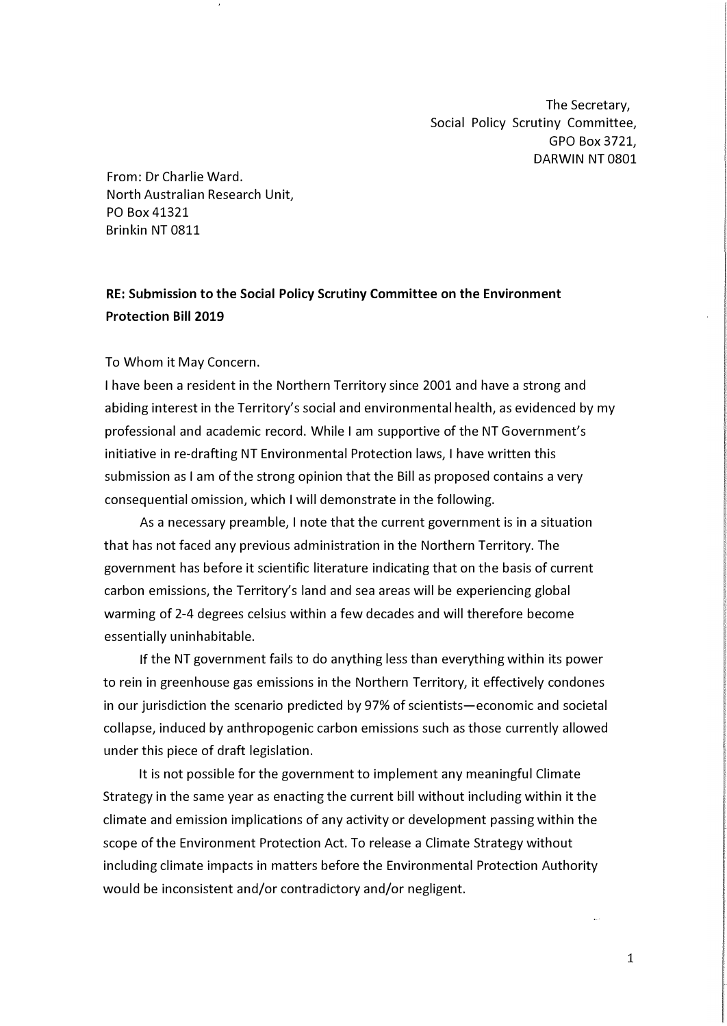The Secretary, Social Policy Scrutiny Committee, GPO Box 3721, DARWIN NT 0801

From: Dr Charlie Ward. North Australian Research Unit, PO Box 41321 Brinkin NT 0811

## **RE: Submission to the Social Policy Scrutiny Committee on the Environment Protection Bill 2019**

## To Whom it May Concern.

I have been a resident in the Northern Territory since 2001 and have a strong and abiding interest in the Territory's social and environmental health, as evidenced by my professional and academic record. While I am supportive of the NT Government's initiative in re-drafting NT Environmental Protection laws, I have written this submission as I am of the strong opinion that the Bill as proposed contains a very consequential omission, which I will demonstrate in the following.

As a necessary preamble, I note that the current government is in a situation that has not faced any previous administration in the Northern Territory. The government has before it scientific literature indicating that on the basis of current carbon emissions, the Territory's land and sea areas will be experiencing global warming of 2-4 degrees celsius within a few decades and will therefore become essentially uninhabitable.

If the NT government fails to do anything less than everything within its power to rein in greenhouse gas emissions in the Northern Territory, it effectively condones in our jurisdiction the scenario predicted by 97% of scientists-economic and societal collapse, induced by anthropogenic carbon emissions such as those currently allowed under this piece of draft legislation.

It is not possible for the government to implement any meaningful Climate Strategy in the same year as enacting the current bill without including within it the climate and emission implications of any activity or development passing within the scope of the Environment Protection Act. To release a Climate Strategy without including climate impacts in matters before the Environmental Protection Authority would be inconsistent and/or contradictory and/or negligent.

1